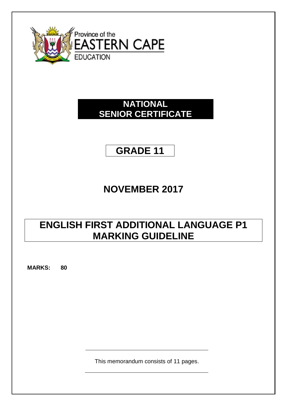

## **NATIONAL SENIOR CERTIFICATE**

## **GRADE 11**

# **NOVEMBER 2017**

## **ENGLISH FIRST ADDITIONAL LANGUAGE P1 MARKING GUIDELINE**

**MARKS: 80**

This memorandum consists of 11 pages.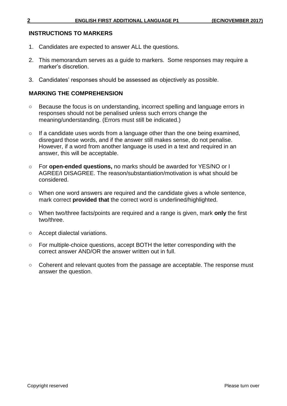#### **INSTRUCTIONS TO MARKERS**

- 1. Candidates are expected to answer ALL the questions.
- 2. This memorandum serves as a guide to markers. Some responses may require a marker's discretion.
- 3. Candidates' responses should be assessed as objectively as possible.

## **MARKING THE COMPREHENSION**

- o Because the focus is on understanding, incorrect spelling and language errors in responses should not be penalised unless such errors change the meaning/understanding. (Errors must still be indicated.)
- o If a candidate uses words from a language other than the one being examined, disregard those words, and if the answer still makes sense, do not penalise. However, if a word from another language is used in a text and required in an answer, this will be acceptable.
- o For **open-ended questions,** no marks should be awarded for YES/NO or I AGREE/I DISAGREE. The reason/substantiation/motivation is what should be considered.
- o When one word answers are required and the candidate gives a whole sentence, mark correct **provided that** the correct word is underlined/highlighted.
- o When two/three facts/points are required and a range is given, mark **only** the first two/three.
- o Accept dialectal variations.
- o For multiple-choice questions, accept BOTH the letter corresponding with the correct answer AND/OR the answer written out in full.
- o Coherent and relevant quotes from the passage are acceptable. The response must answer the question.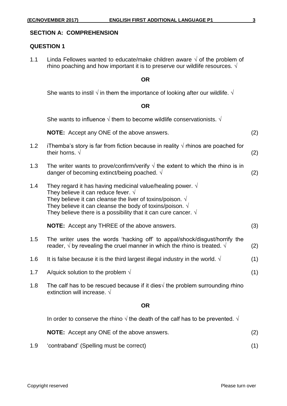#### **SECTION A: COMPREHENSION**

#### **QUESTION 1**

1.1 Linda Fellowes wanted to educate/make children aware  $\sqrt{}$  of the problem of rhino poaching and how important it is to preserve our wildlife resources.  $\sqrt{ }$ 

#### **OR**

She wants to instil  $\sqrt{ }$  in them the importance of looking after our wildlife.  $\sqrt{ }$ 

#### **OR**

She wants to influence  $\sqrt{ }$  them to become wildlife conservationists.  $\sqrt{ }$ 

**NOTE:** Accept any ONE of the above answers. (2)

- 1.2 iThemba's story is far from fiction because in reality  $\sqrt{ }$  rhinos are poached for their horns.  $\sqrt{2}$
- 1.3 The writer wants to prove/confirm/verify  $\sqrt{ }$  the extent to which the rhino is in danger of becoming extinct/being poached.  $\sqrt{2}$
- 1.4 They regard it has having medicinal value/healing power.  $\sqrt{ }$ They believe it can reduce fever.  $\sqrt{ }$ They believe it can cleanse the liver of toxins/poison.  $\sqrt{ }$ They believe it can cleanse the body of toxins/poison.  $\sqrt{ }$ They believe there is a possibility that it can cure cancer.  $\sqrt{ }$

**NOTE:** Accept any THREE of the above answers. (3)

- 1.5 The writer uses the words 'hacking off' to appal/shock/disgust/horrify the reader,  $\sqrt{ }$  by revealing the cruel manner in which the rhino is treated.  $\sqrt{ }$  (2)
- 1.6 It is false because it is the third largest illegal industry in the world.  $\sqrt{ }$  (1)
- 1.7 A/quick solution to the problem  $\sqrt{ }$  (1)
- 1.8 The calf has to be rescued because if it dies $\sqrt{ }$  the problem surrounding rhino extinction will increase. √

#### **OR**

In order to conserve the rhino  $\sqrt{ }$  the death of the calf has to be prevented.  $\sqrt{ }$ 

**NOTE:** Accept any ONE of the above answers. (2)

1.9 'contraband' (Spelling must be correct) (1)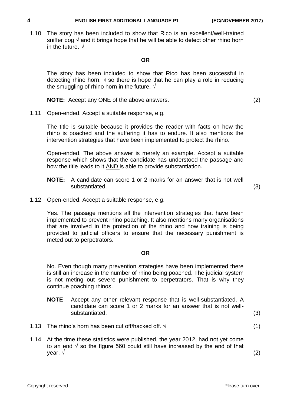1.10 The story has been included to show that Rico is an excellent/well-trained sniffer dog  $\sqrt{ }$  and it brings hope that he will be able to detect other rhino horn in the future.  $\sqrt{ }$ 

#### **OR**

The story has been included to show that Rico has been successful in detecting rhino horn,  $\sqrt{ }$  so there is hope that he can play a role in reducing the smuggling of rhino horn in the future.  $\sqrt{ }$ 

**NOTE:** Accept any ONE of the above answers. (2)

1.11 Open-ended. Accept a suitable response, e.g.

The title is suitable because it provides the reader with facts on how the rhino is poached and the suffering it has to endure. It also mentions the intervention strategies that have been implemented to protect the rhino.

Open-ended. The above answer is merely an example. Accept a suitable response which shows that the candidate has understood the passage and how the title leads to it AND is able to provide substantiation.

- **NOTE:** A candidate can score 1 or 2 marks for an answer that is not well substantiated. (3)
	-

1.12 Open-ended. Accept a suitable response, e.g.

Yes. The passage mentions all the intervention strategies that have been implemented to prevent rhino poaching. It also mentions many organisations that are involved in the protection of the rhino and how training is being provided to judicial officers to ensure that the necessary punishment is meted out to perpetrators.

#### **OR**

No. Even though many prevention strategies have been implemented there is still an increase in the number of rhino being poached. The judicial system is not meting out severe punishment to perpetrators. That is why they continue poaching rhinos.

- **NOTE** Accept any other relevant response that is well-substantiated. A candidate can score 1 or 2 marks for an answer that is not wellsubstantiated. (3)
- 1.13 The rhino's horn has been cut off/hacked off.  $\sqrt{ }$  (1)
- 1.14 At the time these statistics were published, the year 2012, had not yet come to an end  $\sqrt{ }$  so the figure 560 could still have increased by the end of that year. √ (2)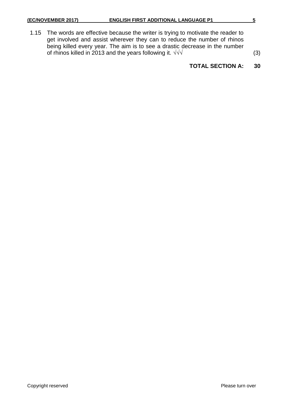1.15 The words are effective because the writer is trying to motivate the reader to get involved and assist wherever they can to reduce the number of rhinos being killed every year. The aim is to see a drastic decrease in the number of rhinos killed in 2013 and the years following it.  $\sqrt{\sqrt{}}$  (3)

## **TOTAL SECTION A: 30**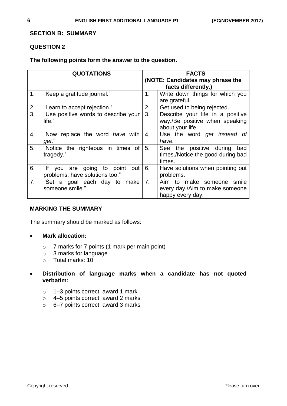### **SECTION B: SUMMARY**

## **QUESTION 2**

### **The following points form the answer to the question.**

|    | <b>QUOTATIONS</b>                                                | <b>FACTS</b> |                                                                                        |  |
|----|------------------------------------------------------------------|--------------|----------------------------------------------------------------------------------------|--|
|    |                                                                  |              | (NOTE: Candidates may phrase the<br>facts differently.)                                |  |
| 1. | "Keep a gratitude journal."                                      | 1.           | Write down things for which you<br>are grateful.                                       |  |
| 2. | "Learn to accept rejection."                                     | 2.           | Get used to being rejected.                                                            |  |
| 3. | "Use positive words to describe your<br>life."                   | 3.           | Describe your life in a positive<br>way./Be positive when speaking<br>about your life. |  |
| 4. | "Now replace the word have with<br>get."                         | 4.           | Use the word get instead of<br>have.                                                   |  |
| 5. | "Notice the righteous in times of<br>tragedy."                   | 5.           | See the positive during<br>bad<br>times./Notice the good during bad<br>times.          |  |
| 6. | "If you are going to point out<br>problems, have solutions too." | 6.           | Have solutions when pointing out<br>problems.                                          |  |
| 7. | "Set a goal each day to make<br>someone smile."                  | 7.           | Aim to make someone smile<br>every day./Aim to make someone<br>happy every day.        |  |

## **MARKING THE SUMMARY**

The summary should be marked as follows:

- **Mark allocation:**
	- o 7 marks for 7 points (1 mark per main point)
	- $\circ$  3 marks for language
	- o Total marks: 10

## **Distribution of language marks when a candidate has not quoted verbatim:**

- o 1–3 points correct: award 1 mark
- o 4–5 points correct: award 2 marks
- o 6–7 points correct: award 3 marks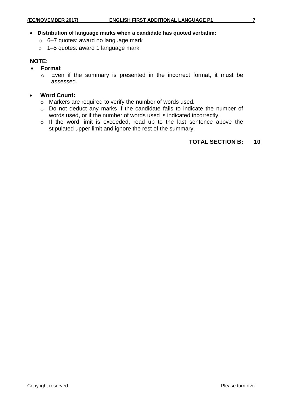#### **Distribution of language marks when a candidate has quoted verbatim:**

- o 6–7 quotes: award no language mark
- o 1–5 quotes: award 1 language mark

### **NOTE:**

- **Format**
	- o Even if the summary is presented in the incorrect format, it must be assessed.
- **Word Count:**
	- o Markers are required to verify the number of words used.
	- o Do not deduct any marks if the candidate fails to indicate the number of words used, or if the number of words used is indicated incorrectly.
	- o If the word limit is exceeded, read up to the last sentence above the stipulated upper limit and ignore the rest of the summary.

## **TOTAL SECTION B: 10**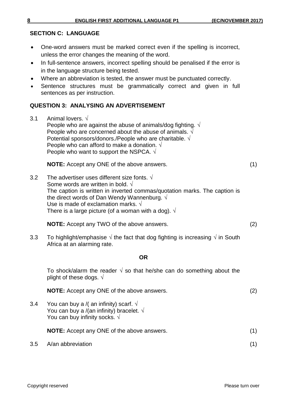## **SECTION C: LANGUAGE**

- One-word answers must be marked correct even if the spelling is incorrect, unless the error changes the meaning of the word.
- In full-sentence answers, incorrect spelling should be penalised if the error is in the language structure being tested.
- Where an abbreviation is tested, the answer must be punctuated correctly.
- Sentence structures must be grammatically correct and given in full sentences as per instruction.

## **QUESTION 3: ANALYSING AN ADVERTISEMENT**

3.1 Animal lovers. √ People who are against the abuse of animals/dog fighting.  $\sqrt{ }$ People who are concerned about the abuse of animals.  $\sqrt{ }$ Potential sponsors/donors./People who are charitable. √ People who can afford to make a donation.  $\sqrt{ }$ People who want to support the NSPCA.  $\sqrt{ }$ 

**NOTE:** Accept any ONE of the above answers. (1)

3.2 The advertiser uses different size fonts.  $\sqrt{ }$ Some words are written in bold. √ The caption is written in inverted commas/quotation marks. The caption is the direct words of Dan Wendy Wannenburg.  $\sqrt{ }$ Use is made of exclamation marks.  $\sqrt{ }$ There is a large picture (of a woman with a dog).  $\sqrt{ }$ 

**NOTE:** Accept any TWO of the above answers. (2)

3.3 To highlight/emphasise  $\sqrt{ }$  the fact that dog fighting is increasing  $\sqrt{ }$  in South Africa at an alarming rate.

## **OR**

To shock/alarm the reader  $\sqrt{ }$  so that he/she can do something about the plight of these dogs.  $\sqrt{ }$ 

3.4 You can buy a /( an infinity) scarf.  $\sqrt{ }$ You can buy a /(an infinity) bracelet.  $\sqrt{ }$ You can buy infinity socks.  $\sqrt{ }$ 

**NOTE:** Accept any ONE of the above answers. (1)

3.5 A/an abbreviation (1)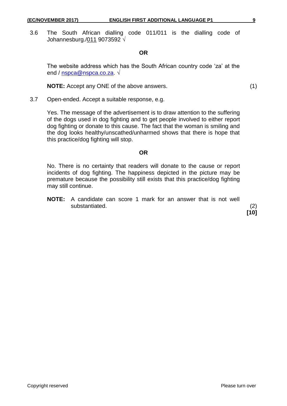3.6 The South African dialling code 011/011 is the dialling code of Johannesburg./011 9073592 √

**OR**

The website address which has the South African country code 'za' at the end / [nspca@nspca.co.za.](mailto:nspca@nspca.co.za) √

**NOTE:** Accept any ONE of the above answers. (1)

3.7 Open-ended. Accept a suitable response, e.g.

Yes. The message of the advertisement is to draw attention to the suffering of the dogs used in dog fighting and to get people involved to either report dog fighting or donate to this cause. The fact that the woman is smiling and the dog looks healthy/unscathed/unharmed shows that there is hope that this practice/dog fighting will stop.

#### **OR**

No. There is no certainty that readers will donate to the cause or report incidents of dog fighting. The happiness depicted in the picture may be premature because the possibility still exists that this practice/dog fighting may still continue.

**NOTE:** A candidate can score 1 mark for an answer that is not well substantiated. (2)

**[10]**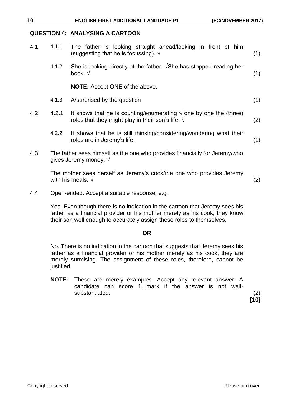## **QUESTION 4: ANALYSING A CARTOON**

| 4.1 | 4.1.1                                                                                                        | The father is looking straight ahead/looking in front of him<br>(suggesting that he is focussing). $\sqrt{ }$                            | (1) |
|-----|--------------------------------------------------------------------------------------------------------------|------------------------------------------------------------------------------------------------------------------------------------------|-----|
|     | 4.1.2                                                                                                        | She is looking directly at the father. $\sqrt{S}$ he has stopped reading her<br>book. $\sqrt{ }$                                         | (1) |
|     |                                                                                                              | <b>NOTE:</b> Accept ONE of the above.                                                                                                    |     |
|     | 4.1.3                                                                                                        | A/surprised by the question                                                                                                              | (1) |
| 4.2 | 4.2.1                                                                                                        | It shows that he is counting/enumerating $\sqrt{ }$ one by one the (three)<br>roles that they might play in their son's life. $\sqrt{ }$ | (2) |
|     | 4.2.2                                                                                                        | It shows that he is still thinking/considering/wondering what their<br>roles are in Jeremy's life.                                       | (1) |
| 4.3 | The father sees himself as the one who provides financially for Jeremy/who<br>gives Jeremy money. $\sqrt{ }$ |                                                                                                                                          |     |
|     |                                                                                                              | The mother sees herself as Jeremy's cook/the one who provides Jeremy<br>with his meals. $\sqrt{ }$                                       | (2) |
| 4.4 |                                                                                                              | Open-ended. Accept a suitable response, e.g.                                                                                             |     |

Yes. Even though there is no indication in the cartoon that Jeremy sees his father as a financial provider or his mother merely as his cook, they know their son well enough to accurately assign these roles to themselves.

#### **OR**

No. There is no indication in the cartoon that suggests that Jeremy sees his father as a financial provider or his mother merely as his cook, they are merely surmising. The assignment of these roles, therefore, cannot be justified.

**NOTE:** These are merely examples. Accept any relevant answer. A candidate can score 1 mark if the answer is not wellsubstantiated. (2)

**[10]**